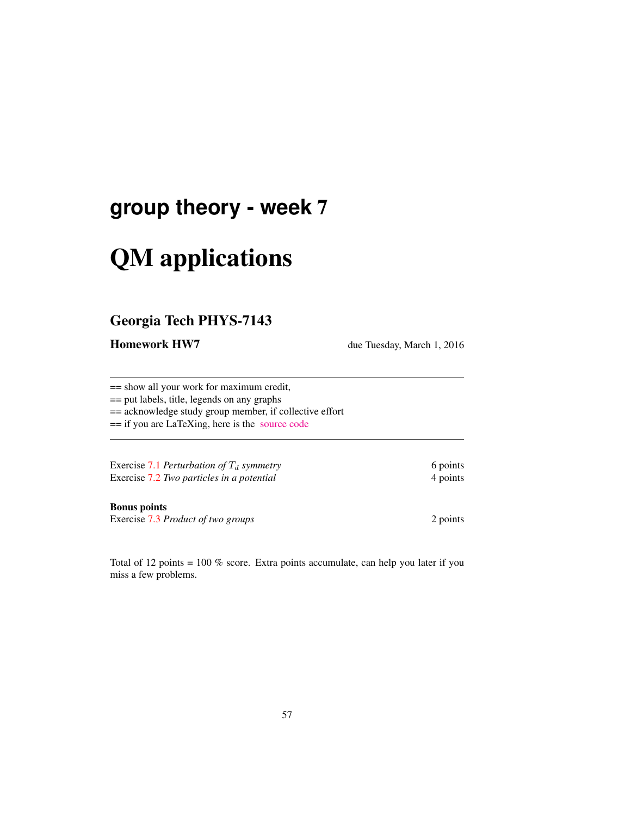# **group theory - week** 7

# QM applications

## Georgia Tech PHYS-7143

**Homework HW7** due Tuesday, March 1, 2016

== show all your work for maximum credit,

== put labels, title, legends on any graphs

== acknowledge study group member, if collective effort

== if you are LaTeXing, here is the [source code](http://birdtracks.eu/courses/PHYS-7143-16/exerWeek7.tex)

Exercise 7.1 *Perturbation of*  $T_d$  *symmetry* 6 points 6 points Exercise 7.2 *Two particles in a potential* 4 points

Bonus points

Exercise 7.3 *Product of two groups* 2 points

Total of 12 points = 100 % score. Extra points accumulate, can help you later if you miss a few problems.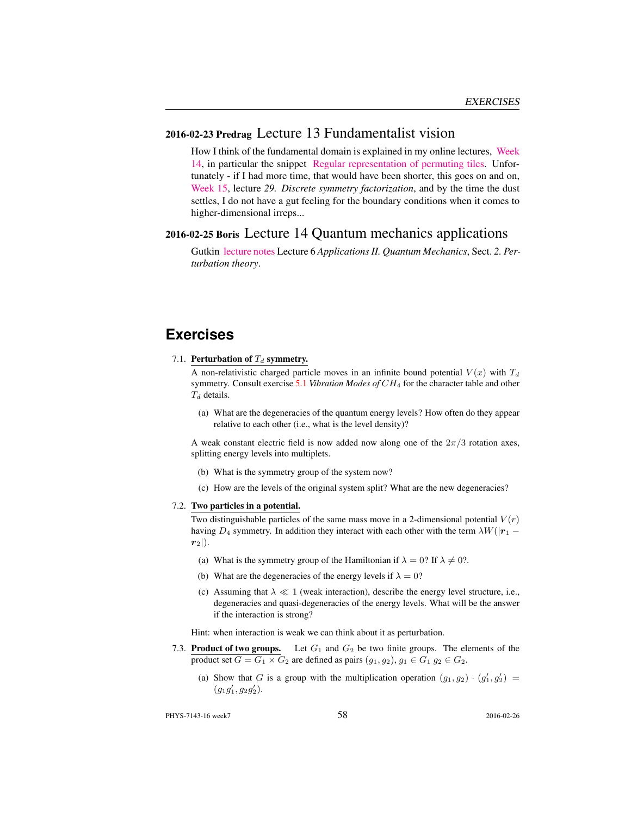### 2016-02-23 Predrag Lecture 13 Fundamentalist vision

How I think of the fundamental domain is explained in my online lectures, [Week](http://chaosbook.org/course1/Course2w14.html) [14,](http://chaosbook.org/course1/Course2w14.html) in particular the snippet [Regular representation of permuting tiles.](http://www.youtube.com/embed/SnBUkUqsWTU) Unfortunately - if I had more time, that would have been shorter, this goes on and on, [Week 15,](http://chaosbook.org/course1/Course2w15.html) lecture *29. Discrete symmetry factorization*, and by the time the dust settles, I do not have a gut feeling for the boundary conditions when it comes to higher-dimensional irreps...

#### 2016-02-25 Boris Lecture 14 Quantum mechanics applications

Gutkin [lecture notes](http://birdtracks.eu/courses/PHYS-7143-16/groups.pdf) Lecture 6 *Applications II. Quantum Mechanics*, Sect. *2. Perturbation theory*.

#### **Exercises**

7.1. Perturbation of  $T_d$  symmetry.

A non-relativistic charged particle moves in an infinite bound potential  $V(x)$  with  $T<sub>d</sub>$ symmetry. Consult exercise 5.1 *Vibration Modes of* CH<sup>4</sup> for the character table and other  $T_d$  details.

(a) What are the degeneracies of the quantum energy levels? How often do they appear relative to each other (i.e., what is the level density)?

A weak constant electric field is now added now along one of the  $2\pi/3$  rotation axes, splitting energy levels into multiplets.

- (b) What is the symmetry group of the system now?
- (c) How are the levels of the original system split? What are the new degeneracies?

#### 7.2. Two particles in a potential.

Two distinguishable particles of the same mass move in a 2-dimensional potential  $V(r)$ having  $D_4$  symmetry. In addition they interact with each other with the term  $\lambda W(|r_1 - r_2|)$  $r_2$ .

- (a) What is the symmetry group of the Hamiltonian if  $\lambda = 0$ ? If  $\lambda \neq 0$ ?.
- (b) What are the degeneracies of the energy levels if  $\lambda = 0$ ?
- (c) Assuming that  $\lambda \ll 1$  (weak interaction), describe the energy level structure, i.e., degeneracies and quasi-degeneracies of the energy levels. What will be the answer if the interaction is strong?

Hint: when interaction is weak we can think about it as perturbation.

- 7.3. **Product of two groups.** Let  $G_1$  and  $G_2$  be two finite groups. The elements of the product set  $G = G_1 \times G_2$  are defined as pairs  $(g_1, g_2), g_1 \in G_1$   $g_2 \in G_2$ .
	- (a) Show that G is a group with the multiplication operation  $(g_1, g_2) \cdot (g'_1, g'_2)$  $(g_1g'_1, g_2g'_2).$

PHYS-7143-16 week7 2016-02-26 2016-02-26